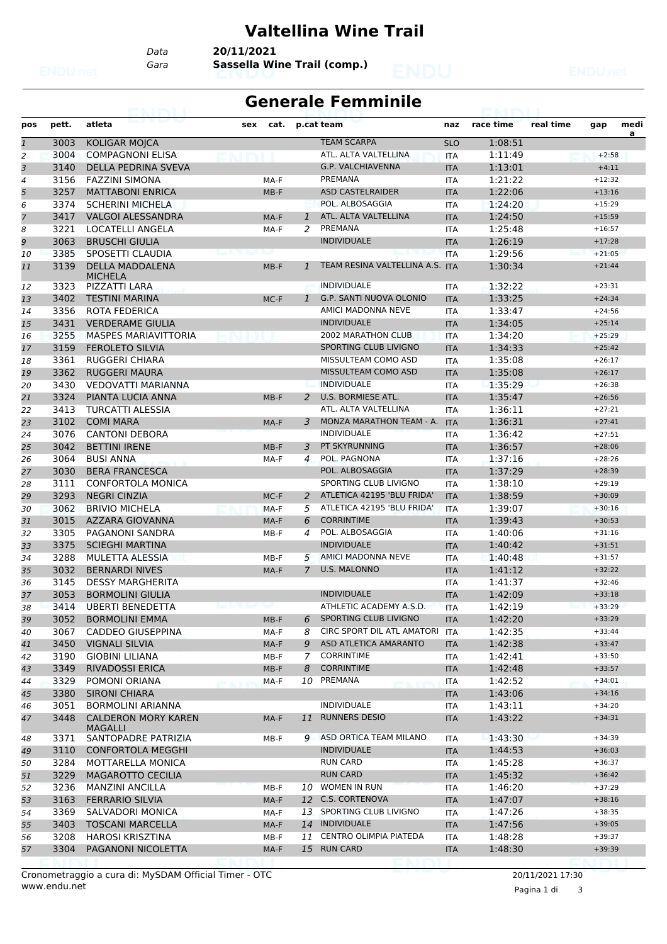## **Valtellina Wine Trail**

*Data* **20/11/2021**

*Gara* **Sassella Wine Trail (comp.)**

## **Generale Femminile**

| pos            | pett. | atleta                                       | sex<br>cat.                 |                | p.cat team                      | naz        | race time | real time | gap      | medi |
|----------------|-------|----------------------------------------------|-----------------------------|----------------|---------------------------------|------------|-----------|-----------|----------|------|
| $\mathbf{1}$   | 3003  | <b>KOLIGAR MOJCA</b>                         |                             |                | <b>TEAM SCARPA</b>              | <b>SLO</b> | 1:08:51   |           |          | a    |
| $\overline{c}$ | 3004  | <b>COMPAGNONI ELISA</b>                      |                             |                | ATL. ALTA VALTELLINA            | <b>ITA</b> | 1:11:49   |           | $+2:58$  |      |
| 3              | 3140  | <b>DELLA PEDRINA SVEVA</b>                   |                             |                | <b>G.P. VALCHIAVENNA</b>        | <b>ITA</b> | 1:13:01   |           | $+4:11$  |      |
| 4              | 3156  | <b>FAZZINI SIMONA</b>                        | MA-F                        |                | PREMANA                         | ITA        | 1:21:22   |           | $+12:32$ |      |
| 5              | 3257  | <b>MATTABONI ENRICA</b>                      | MB-F                        |                | <b>ASD CASTELRAIDER</b>         | <b>ITA</b> | 1:22:06   |           | $+13:16$ |      |
| 6              | 3374  | <b>SCHERINI MICHELA</b>                      |                             |                | POL. ALBOSAGGIA                 | <b>ITA</b> | 1:24:20   |           | $+15:29$ |      |
| 7              | 3417  | <b>VALGOI ALESSANDRA</b>                     | MA-F                        | $\mathbf{1}$   | ATL. ALTA VALTELLINA            | <b>ITA</b> | 1:24:50   |           | $+15:59$ |      |
| 8              | 3221  | <b>LOCATELLI ANGELA</b>                      | MA-F                        | 2              | PREMANA                         | <b>ITA</b> | 1:25:48   |           | $+16:57$ |      |
| 9              | 3063  | <b>BRUSCHI GIULIA</b>                        |                             |                | <b>INDIVIDUALE</b>              | <b>ITA</b> | 1:26:19   |           | $+17:28$ |      |
| 10             | 3385  | SPOSETTI CLAUDIA                             | v                           |                |                                 | <b>ITA</b> | 1:29:56   |           | $+21:05$ |      |
| 11             | 3139  | <b>DELLA MADDALENA</b><br><b>MICHELA</b>     | $MB-F$                      | 1              | TEAM RESINA VALTELLINA A.S. ITA |            | 1:30:34   |           | $+21:44$ |      |
| 12             | 3323  | PIZZATTI LARA                                |                             |                | <b>INDIVIDUALE</b>              | <b>ITA</b> | 1:32:22   |           | $+23:31$ |      |
| 13             | 3402  | <b>TESTINI MARINA</b>                        | MC-F                        | $\mathcal{I}$  | <b>G.P. SANTI NUOVA OLONIO</b>  | <b>ITA</b> | 1:33:25   |           | $+24:34$ |      |
| 14             | 3356  | ROTA FEDERICA                                |                             |                | <b>AMICI MADONNA NEVE</b>       | <b>ITA</b> | 1:33:47   |           | $+24:56$ |      |
| 15             | 3431  | <b>VERDERAME GIULIA</b>                      |                             |                | <b>INDIVIDUALE</b>              | <b>ITA</b> | 1:34:05   |           | $+25:14$ |      |
| 16             | 3255  | <b>MASPES MARIAVITTORIA</b>                  |                             |                | <b>2002 MARATHON CLUB</b>       | <b>ITA</b> | 1:34:20   |           | $+25:29$ |      |
| 17             | 3159  | <b>FEROLETO SILVIA</b>                       |                             |                | SPORTING CLUB LIVIGNO           | <b>ITA</b> | 1:34:33   |           | $+25:42$ |      |
| 18             | 3361  | <b>RUGGERI CHIARA</b>                        |                             |                | MISSULTEAM COMO ASD             | <b>ITA</b> | 1:35:08   |           | $+26:17$ |      |
| 19             | 3362  | <b>RUGGERI MAURA</b>                         |                             |                | MISSULTEAM COMO ASD             | <b>ITA</b> | 1:35:08   |           | $+26:17$ |      |
| 20             | 3430  | <b>VEDOVATTI MARIANNA</b>                    |                             |                | <b>INDIVIDUALE</b>              | ITA        | 1:35:29   |           | $+26:38$ |      |
| 21             | 3324  | PIANTA LUCIA ANNA                            | $MB-F$                      | 2              | <b>U.S. BORMIESE ATL.</b>       | <b>ITA</b> | 1:35:47   |           | $+26:56$ |      |
| 22             | 3413  | <b>TURCATTI ALESSIA</b>                      |                             |                | ATL. ALTA VALTELLINA            | <b>ITA</b> | 1:36:11   |           | $+27:21$ |      |
| 23             | 3102  | <b>COMI MARA</b>                             | MA-F                        | 3              | MONZA MARATHON TEAM - A. ITA    |            | 1:36:31   |           | $+27:41$ |      |
| 24             | 3076  | <b>CANTONI DEBORA</b>                        |                             |                | <b>INDIVIDUALE</b>              | <b>ITA</b> | 1:36:42   |           | $+27:51$ |      |
| 25             | 3042  | <b>BETTINI IRENE</b>                         | $MB-F$                      | 3              | PT SKYRUNNING                   | <b>ITA</b> | 1:36:57   |           | $+28:06$ |      |
| 26             | 3064  | <b>BUSI ANNA</b>                             | MA-F                        | 4              | POL. PAGNONA                    | <b>ITA</b> | 1:37:16   |           | $+28:26$ |      |
| 27             | 3030  | <b>BERA FRANCESCA</b>                        |                             |                | POL. ALBOSAGGIA                 | <b>ITA</b> | 1:37:29   |           | $+28:39$ |      |
| 28             | 3111  | <b>CONFORTOLA MONICA</b>                     |                             |                | SPORTING CLUB LIVIGNO           | <b>ITA</b> | 1:38:10   |           | $+29:19$ |      |
| 29             | 3293  | <b>NEGRI CINZIA</b>                          | MC-F                        | 2              | ATLETICA 42195 'BLU FRIDA'      | <b>ITA</b> | 1:38:59   |           | $+30:09$ |      |
| 30             | 3062  | <b>BRIVIO MICHELA</b>                        | MA-F                        | 5              | ATLETICA 42195 'BLU FRIDA'      | <b>ITA</b> | 1:39:07   |           | $+30:16$ |      |
| 31             | 3015  | AZZARA GIOVANNA                              | MA-F                        | 6              | <b>CORRINTIME</b>               | <b>ITA</b> | 1:39:43   |           | $+30:53$ |      |
| 32             | 3305  | PAGANONI SANDRA                              | MB-F                        | 4              | POL. ALBOSAGGIA                 | ITA        | 1:40:06   |           | $+31:16$ |      |
| 33             | 3375  | <b>SCIEGHI MARTINA</b>                       |                             |                | <b>INDIVIDUALE</b>              | <b>ITA</b> | 1:40:42   |           | $+31:51$ |      |
| 34             | 3288  | <b>MULETTA ALESSIA</b>                       | MB-F                        | 5              | AMICI MADONNA NEVE              | <b>ITA</b> | 1:40:48   |           | $+31:57$ |      |
| 35             | 3032  | <b>BERNARDI NIVES</b>                        | MA-F                        | $\overline{7}$ | <b>U.S. MALONNO</b>             | <b>ITA</b> | 1:41:12   |           | $+32:22$ |      |
| 36             | 3145  | <b>DESSY MARGHERITA</b>                      |                             |                |                                 | <b>ITA</b> | 1:41:37   |           | $+32:46$ |      |
| 37             | 3053  | <b>BORMOLINI GIULIA</b>                      |                             |                | <b>INDIVIDUALE</b>              | <b>ITA</b> | 1:42:09   |           | $+33:18$ |      |
| 38             | 3414  | <b>UBERTI BENEDETTA</b>                      | <b>Service State Street</b> |                | ATHLETIC ACADEMY A.S.D.         | <b>ITA</b> | 1:42:19   |           | $+33:29$ |      |
| 39             | 3052  | <b>BORMOLINI EMMA</b>                        | $MB-F$                      | 6              | SPORTING CLUB LIVIGNO           | <b>ITA</b> | 1:42:20   |           | $+33:29$ |      |
| 40             | 3067  | CADDEO GIUSEPPINA                            | MA-F                        | 8              | CIRC SPORT DIL ATL AMATORI      | ITA        | 1:42:35   |           | $+33:44$ |      |
| 41             | 3450  | <b>VIGNALI SILVIA</b>                        | MA-F                        | 9              | ASD ATLETICA AMARANTO           | <b>ITA</b> | 1:42:38   |           | $+33:47$ |      |
| 42             | 3190  | <b>GIOBINI LILIANA</b>                       | MB-F                        | $\overline{7}$ | <b>CORRINTIME</b>               | ITA        | 1:42:41   |           | $+33:50$ |      |
| 43             | 3349  | <b>RIVADOSSI ERICA</b>                       | $MB-F$                      | 8              | <b>CORRINTIME</b>               | <b>ITA</b> | 1:42:48   |           | $+33:57$ |      |
| 44             | 3329  | POMONI ORIANA                                | MA-F                        | 10             | PREMANA                         | ITA        | 1:42:52   |           | $+34:01$ |      |
| 45             | 3380  | <b>SIRONI CHIARA</b>                         |                             |                |                                 | <b>ITA</b> | 1:43:06   |           | $+34:16$ |      |
| 46             | 3051  | <b>BORMOLINI ARIANNA</b>                     |                             |                | <b>INDIVIDUALE</b>              | ITA        | 1:43:11   |           | $+34:20$ |      |
| 47             | 3448  | <b>CALDERON MORY KAREN</b><br><b>MAGALLI</b> | MA-F                        | 11             | <b>RUNNERS DESIO</b>            | <b>ITA</b> | 1:43:22   |           | $+34:31$ |      |
| 48             | 3371  | SANTOPADRE PATRIZIA                          | MB-F                        | 9              | ASD ORTICA TEAM MILANO          | ITA        | 1:43:30   |           | $+34:39$ |      |
| 49             | 3110  | <b>CONFORTOLA MEGGHI</b>                     |                             |                | <b>INDIVIDUALE</b>              | <b>ITA</b> | 1:44:53   |           | $+36:03$ |      |
| 50             | 3284  | MOTTARELLA MONICA                            |                             |                | <b>RUN CARD</b>                 | ITA        | 1:45:28   |           | $+36:37$ |      |
| 51             | 3229  | MAGAROTTO CECILIA                            |                             |                | <b>RUN CARD</b>                 | <b>ITA</b> | 1:45:32   |           | $+36:42$ |      |
| 52             | 3236  | <b>MANZINI ANCILLA</b>                       | MB-F                        |                | 10 WOMEN IN RUN                 | <b>ITA</b> | 1:46:20   |           | $+37:29$ |      |
| 53             | 3163  | <b>FERRARIO SILVIA</b>                       | MA-F                        |                | 12 C.S. CORTENOVA               | <b>ITA</b> | 1:47:07   |           | $+38:16$ |      |
| 54             | 3369  | SALVADORI MONICA                             | MA-F                        |                | 13 SPORTING CLUB LIVIGNO        | ITA        | 1:47:26   |           | $+38:35$ |      |
| 55             | 3403  | <b>TOSCANI MARCELLA</b>                      | MA-F                        |                | 14 INDIVIDUALE                  | <b>ITA</b> | 1:47:56   |           | $+39:05$ |      |
| 56             | 3208  | <b>HAROSI KRISZTINA</b>                      | MB-F                        |                | 11 CENTRO OLIMPIA PIATEDA       | ITA        | 1:48:28   |           | $+39:37$ |      |
| 57             | 3304  | PAGANONI NICOLETTA                           | MA-F                        |                | 15 RUN CARD                     | <b>ITA</b> | 1:48:30   |           | $+39:39$ |      |
|                |       |                                              |                             |                |                                 |            |           |           |          |      |

www.endu.net Cronometraggio a cura di: MySDAM Official Timer - OTC 20/11/2021 17:30

Pagina 1 di 3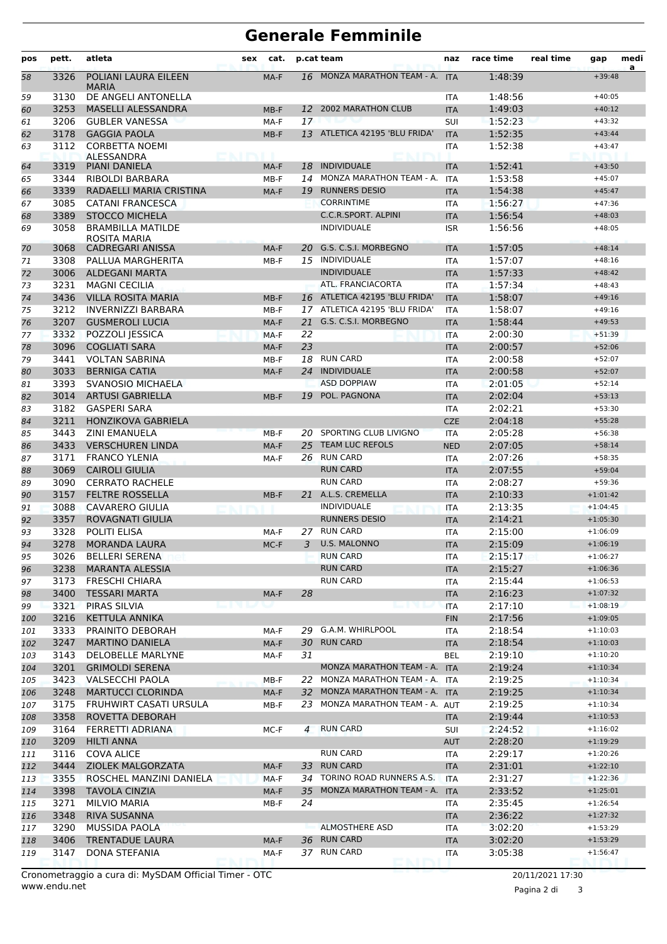## **Generale Femminile**

| pos | pett. | atleta                                     | sex | cat.   |                | p.cat team                      | naz        | race time | real time | gap        | medi<br>a |
|-----|-------|--------------------------------------------|-----|--------|----------------|---------------------------------|------------|-----------|-----------|------------|-----------|
| 58  | 3326  | POLIANI LAURA EILEEN<br><b>MARIA</b>       |     | MA-F   | 16             | MONZA MARATHON TEAM - A.        | <b>ITA</b> | 1:48:39   |           | $+39:48$   |           |
| 59  | 3130  | DE ANGELI ANTONELLA                        |     |        |                |                                 | <b>ITA</b> | 1:48:56   |           | $+40:05$   |           |
| 60  | 3253  | <b>MASELLI ALESSANDRA</b>                  |     | $MB-F$ | 12             | <b>2002 MARATHON CLUB</b>       | <b>ITA</b> | 1:49:03   |           | $+40:12$   |           |
| 61  | 3206  | <b>GUBLER VANESSA</b>                      |     | MA-F   | 17             |                                 | SUI        | 1:52:23   |           | $+43:32$   |           |
| 62  | 3178  | <b>GAGGIA PAOLA</b>                        |     | $MB-F$ |                | 13 ATLETICA 42195 'BLU FRIDA'   | <b>ITA</b> | 1:52:35   |           | $+43:44$   |           |
| 63  | 3112  | <b>CORBETTA NOEMI</b><br><b>ALESSANDRA</b> |     | 81 N   |                |                                 | <b>ITA</b> | 1:52:38   |           | $+43:47$   |           |
| 64  | 3319  | <b>PIANI DANIELA</b>                       |     | MA-F   | 18             | <b>INDIVIDUALE</b>              | <b>ITA</b> | 1:52:41   |           | $+43:50$   |           |
| 65  | 3344  | RIBOLDI BARBARA                            |     | MB-F   | 14             | MONZA MARATHON TEAM - A.        | <b>ITA</b> | 1:53:58   |           | $+45:07$   |           |
| 66  | 3339  | RADAELLI MARIA CRISTINA                    |     | MA-F   | 19             | <b>RUNNERS DESIO</b>            | <b>ITA</b> | 1:54:38   |           | $+45:47$   |           |
| 67  | 3085  | <b>CATANI FRANCESCA</b>                    |     |        |                | <b>CORRINTIME</b>               | <b>ITA</b> | 1:56:27   |           | $+47:36$   |           |
| 68  | 3389  | <b>STOCCO MICHELA</b>                      |     |        |                | C.C.R.SPORT. ALPINI             | <b>ITA</b> | 1:56:54   |           | $+48:03$   |           |
| 69  | 3058  | <b>BRAMBILLA MATILDE</b>                   |     |        |                | <b>INDIVIDUALE</b>              | <b>ISR</b> | 1:56:56   |           | $+48:05$   |           |
|     |       | ROSITA MARIA                               |     |        |                |                                 |            |           |           |            |           |
| 70  | 3068  | <b>CADREGARI ANISSA</b>                    |     | MA-F   | 20             | G.S. C.S.I. MORBEGNO            | <b>ITA</b> | 1:57:05   |           | $+48:14$   |           |
| 71  | 3308  | PALLUA MARGHERITA                          |     | MB-F   |                | 15 INDIVIDUALE                  | <b>ITA</b> | 1:57:07   |           | $+48:16$   |           |
| 72  | 3006  | <b>ALDEGANI MARTA</b>                      |     |        |                | <b>INDIVIDUALE</b>              | <b>ITA</b> | 1:57:33   |           | $+48:42$   |           |
| 73  | 3231  | <b>MAGNI CECILIA</b>                       |     |        |                | ATL. FRANCIACORTA               | <b>ITA</b> | 1:57:34   |           | $+48:43$   |           |
| 74  | 3436  | <b>VILLA ROSITA MARIA</b>                  |     | $MB-F$ |                | 16 ATLETICA 42195 'BLU FRIDA'   | <b>ITA</b> | 1:58:07   |           | $+49:16$   |           |
| 75  | 3212  | <b>INVERNIZZI BARBARA</b>                  |     | MB-F   |                | 17 ATLETICA 42195 'BLU FRIDA'   | <b>ITA</b> | 1:58:07   |           | $+49:16$   |           |
| 76  | 3207  | <b>GUSMEROLI LUCIA</b>                     |     | MA-F   | 21             | G.S. C.S.I. MORBEGNO            | <b>ITA</b> | 1:58:44   |           | $+49:53$   |           |
| 77  | 3332  | POZZOLI JESSICA                            |     | MA-F   | 22             |                                 | <b>ITA</b> | 2:00:30   |           | $+51:39$   |           |
| 78  | 3096  | <b>COGLIATI SARA</b>                       |     | MA-F   | 23             |                                 | <b>ITA</b> | 2:00:57   |           | $+52:06$   |           |
| 79  | 3441  | <b>VOLTAN SABRINA</b>                      |     | MB-F   | 18             | <b>RUN CARD</b>                 | <b>ITA</b> | 2:00:58   |           | $+52:07$   |           |
| 80  | 3033  | <b>BERNIGA CATIA</b>                       |     | MA-F   |                | 24 INDIVIDUALE                  | <b>ITA</b> | 2:00:58   |           | $+52:07$   |           |
| 81  | 3393  | <b>SVANOSIO MICHAELA</b>                   |     |        |                | <b>ASD DOPPIAW</b>              | <b>ITA</b> | 2:01:05   |           | $+52:14$   |           |
| 82  | 3014  | <b>ARTUSI GABRIELLA</b>                    |     | $MB-F$ | 19             | POL. PAGNONA                    | <b>ITA</b> | 2:02:04   |           | $+53:13$   |           |
| 83  | 3182  | <b>GASPERI SARA</b>                        |     |        |                |                                 | <b>ITA</b> | 2:02:21   |           | $+53:30$   |           |
| 84  | 3211  | HONZIKOVA GABRIELA                         |     |        |                |                                 | <b>CZE</b> | 2:04:18   |           | $+55:28$   |           |
| 85  | 3443  | <b>ZINI EMANUELA</b>                       |     | $MB-F$ | 20             | SPORTING CLUB LIVIGNO           | <b>ITA</b> | 2:05:28   |           | $+56:38$   |           |
| 86  | 3433  | <b>VERSCHUREN LINDA</b>                    |     | MA-F   | 25             | <b>TEAM LUC REFOLS</b>          | <b>NED</b> | 2:07:05   |           | $+58:14$   |           |
| 87  | 3171  | <b>FRANCO YLENIA</b>                       |     | MA-F   |                | 26 RUN CARD                     | <b>ITA</b> | 2:07:26   |           | $+58:35$   |           |
| 88  | 3069  | <b>CAIROLI GIULIA</b>                      |     |        |                | <b>RUN CARD</b>                 | <b>ITA</b> | 2:07:55   |           | $+59:04$   |           |
| 89  | 3090  | <b>CERRATO RACHELE</b>                     |     |        |                | <b>RUN CARD</b>                 | <b>ITA</b> | 2:08:27   |           | $+59:36$   |           |
| 90  | 3157  | <b>FELTRE ROSSELLA</b>                     |     | $MB-F$ | 21             | A.L.S. CREMELLA                 | <b>ITA</b> | 2:10:33   |           | $+1:01:42$ |           |
| 91  | 3088  | CAVARERO GIULIA                            |     |        |                | <b>INDIVIDUALE</b>              | <b>ITA</b> | 2:13:35   |           | $+1:04:45$ |           |
| 92  | 3357  | ROVAGNATI GIULIA                           |     |        |                | <b>RUNNERS DESIO</b>            | <b>ITA</b> | 2:14:21   |           | $+1:05:30$ |           |
| 93  | 3328  | <b>POLITI ELISA</b>                        |     | MA-F   | 27             | <b>RUN CARD</b>                 | <b>ITA</b> | 2:15:00   |           | $+1:06:09$ |           |
| 94  | 3278  | <b>MORANDA LAURA</b>                       |     | MC-F   | 3              | <b>U.S. MALONNO</b>             | <b>ITA</b> | 2:15:09   |           | $+1:06:19$ |           |
| 95  | 3026  | <b>BELLERI SERENA</b>                      |     |        |                | <b>RUN CARD</b>                 | ITA        | 2:15:17   |           | $+1:06:27$ |           |
| 96  | 3238  | <b>MARANTA ALESSIA</b>                     |     |        |                | <b>RUN CARD</b>                 | <b>ITA</b> | 2:15:27   |           | $+1:06:36$ |           |
| 97  | 3173  | <b>FRESCHI CHIARA</b>                      |     |        |                | <b>RUN CARD</b>                 | ITA        | 2:15:44   |           | $+1:06:53$ |           |
| 98  | 3400  | <b>TESSARI MARTA</b>                       |     | MA-F   | 28             |                                 | <b>ITA</b> | 2:16:23   |           | $+1:07:32$ |           |
| 99  | 3321  | PIRAS SILVIA                               |     | w      |                |                                 | <b>ITA</b> | 2:17:10   |           | $+1:08:19$ |           |
| 100 | 3216  | <b>KETTULA ANNIKA</b>                      |     |        |                |                                 | <b>FIN</b> | 2:17:56   |           | $+1:09:05$ |           |
| 101 | 3333  | PRAINITO DEBORAH                           |     | MA-F   |                | 29 G.A.M. WHIRLPOOL             | ITA        | 2:18:54   |           | $+1:10:03$ |           |
| 102 | 3247  | <b>MARTINO DANIELA</b>                     |     | MA-F   | 30             | <b>RUN CARD</b>                 | <b>ITA</b> | 2:18:54   |           | $+1:10:03$ |           |
| 103 | 3143  | DELOBELLE MARLYNE                          |     | MA-F   | 31             |                                 | BEL        | 2:19:10   |           | $+1:10:20$ |           |
| 104 | 3201  | <b>GRIMOLDI SERENA</b>                     |     |        |                | MONZA MARATHON TEAM - A. ITA    |            | 2:19:24   |           | $+1:10:34$ |           |
| 105 | 3423  | VALSECCHI PAOLA                            |     | MB-F   | 22             | MONZA MARATHON TEAM - A. ITA    |            | 2:19:25   |           | $+1:10:34$ |           |
| 106 | 3248  | <b>MARTUCCI CLORINDA</b>                   |     | MA-F   |                | 32 MONZA MARATHON TEAM - A. ITA |            | 2:19:25   |           | $+1:10:34$ |           |
| 107 | 3175  | FRUHWIRT CASATI URSULA                     |     | MB-F   |                | 23 MONZA MARATHON TEAM - A. AUT |            | 2:19:25   |           | $+1:10:34$ |           |
| 108 | 3358  | ROVETTA DEBORAH                            |     |        |                |                                 | <b>ITA</b> | 2:19:44   |           | $+1:10:53$ |           |
| 109 | 3164  | FERRETTI ADRIANA                           |     | MC-F   | $\overline{4}$ | <b>RUN CARD</b>                 | SUI        | 2:24:52   |           | $+1:16:02$ |           |
| 110 | 3209  | <b>HILTI ANNA</b>                          |     |        |                |                                 | <b>AUT</b> | 2:28:20   |           | $+1:19:29$ |           |
| 111 | 3116  | <b>COVA ALICE</b>                          |     |        |                | <b>RUN CARD</b>                 | ITA        | 2:29:17   |           | $+1:20:26$ |           |
| 112 | 3444  | ZIOLEK MALGORZATA                          |     | MA-F   | 33             | <b>RUN CARD</b>                 | <b>ITA</b> | 2:31:01   |           | $+1:22:10$ |           |
| 113 | 3355  | ROSCHEL MANZINI DANIELA                    |     | MA-F   | 34             | TORINO ROAD RUNNERS A.S.        | <b>ITA</b> | 2:31:27   |           | $+1:22:36$ |           |
| 114 | 3398  | <b>TAVOLA CINZIA</b>                       |     | MA-F   | 35             | MONZA MARATHON TEAM - A.        | <b>ITA</b> | 2:33:52   |           | $+1:25:01$ |           |
| 115 | 3271  | MILVIO MARIA                               |     | MB-F   | 24             |                                 | ITA.       | 2:35:45   |           | $+1:26:54$ |           |
| 116 | 3348  | RIVA SUSANNA                               |     |        |                |                                 | <b>ITA</b> | 2:36:22   |           | $+1:27:32$ |           |
| 117 | 3290  | MUSSIDA PAOLA                              |     |        |                | <b>ALMOSTHERE ASD</b>           | ITA        | 3:02:20   |           | $+1:53:29$ |           |
| 118 | 3406  | <b>TRENTADUE LAURA</b>                     |     | MA-F   |                | 36 RUN CARD                     | <b>ITA</b> | 3:02:20   |           | $+1:53:29$ |           |
| 119 | 3147  | DONA STEFANIA                              |     | MA-F   |                | 37 RUN CARD                     | ITA        | 3:05:38   |           | $+1:56:47$ |           |
|     |       |                                            |     |        |                |                                 |            |           |           |            |           |

www.endu.net Cronometraggio a cura di: MySDAM Official Timer - OTC 20/11/2021 17:30

Pagina 2 di 3